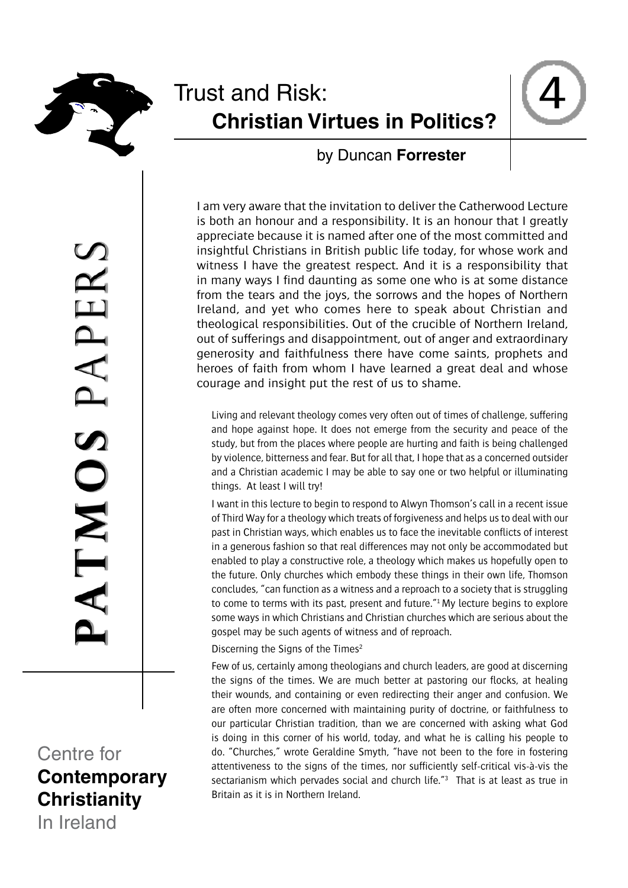

# Trust and Risk: **Christian Virtues in Politics?**



### by Duncan **Forrester**

I am very aware that the invitation to deliver the Catherwood Lecture is both an honour and a responsibility. It is an honour that I greatly appreciate because it is named after one of the most committed and insightful Christians in British public life today, for whose work and witness I have the greatest respect. And it is a responsibility that in many ways I find daunting as some one who is at some distance from the tears and the joys, the sorrows and the hopes of Northern Ireland, and yet who comes here to speak about Christian and theological responsibilities. Out of the crucible of Northern Ireland, out of sufferings and disappointment, out of anger and extraordinary generosity and faithfulness there have come saints, prophets and heroes of faith from whom I have learned a great deal and whose courage and insight put the rest of us to shame.

Living and relevant theology comes very often out of times of challenge, suffering and hope against hope. It does not emerge from the security and peace of the study, but from the places where people are hurting and faith is being challenged by violence, bitterness and fear. But for all that, I hope that as a concerned outsider and a Christian academic I may be able to say one or two helpful or illuminating things. At least I will try!

I want in this lecture to begin to respond to Alwyn Thomson's call in a recent issue of Third Way for a theology which treats of forgiveness and helps us to deal with our past in Christian ways, which enables us to face the inevitable conflicts of interest in a generous fashion so that real differences may not only be accommodated but enabled to play a constructive role, a theology which makes us hopefully open to the future. Only churches which embody these things in their own life, Thomson concludes, "can function as a witness and a reproach to a society that is struggling to come to terms with its past, present and future."1 My lecture begins to explore some ways in which Christians and Christian churches which are serious about the gospel may be such agents of witness and of reproach.

Discerning the Signs of the Times<sup>2</sup>

Few of us, certainly among theologians and church leaders, are good at discerning the signs of the times. We are much better at pastoring our flocks, at healing their wounds, and containing or even redirecting their anger and confusion. We are often more concerned with maintaining purity of doctrine, or faithfulness to our particular Christian tradition, than we are concerned with asking what God is doing in this corner of his world, today, and what he is calling his people to do. "Churches," wrote Geraldine Smyth, "have not been to the fore in fostering attentiveness to the signs of the times, nor sufficiently self-critical vis-à-vis the sectarianism which pervades social and church life.<sup>"3</sup> That is at least as true in Britain as it is in Northern Ireland.

ATMOS PAPER

## Centre for **Contemporary Christianity** In Ireland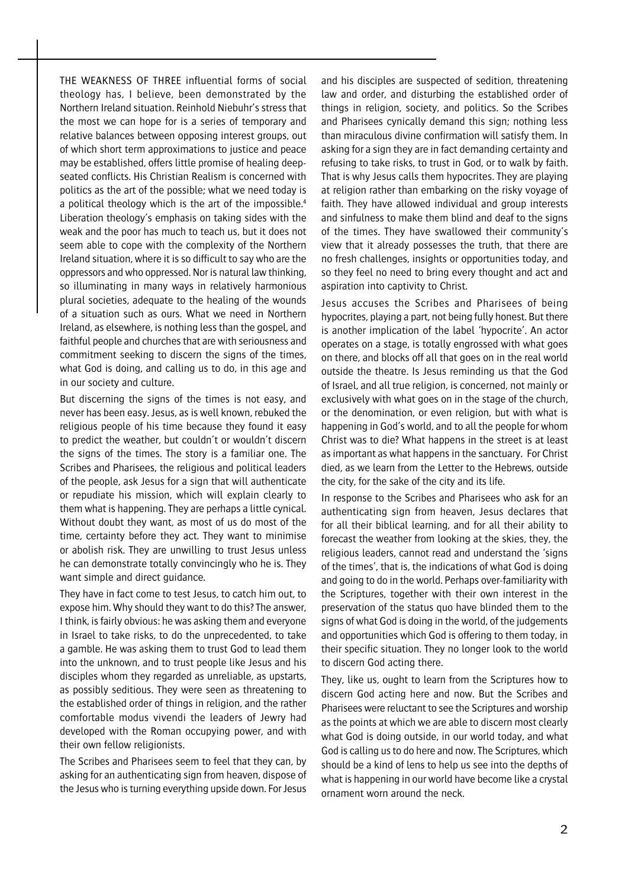THE WEAKNESS OF THREE influential forms of social theology has, I believe, been demonstrated by the Northern Ireland situation. Reinhold Niebuhr's stress that the most we can hope for is a series of temporary and relative balances between opposing interest groups, out of which short term approximations to justice and peace may be established, offers little promise of healing deepseated conflicts. His Christian Realism is concerned with politics as the art of the possible; what we need today is a political theology which is the art of the impossible.<sup>4</sup> Liberation theology's emphasis on taking sides with the weak and the poor has much to teach us, but it does not seem able to cope with the complexity of the Northern Ireland situation, where it is so difficult to say who are the oppressors and who oppressed. Nor is natural law thinking, so illuminating in many ways in relatively harmonious plural societies, adequate to the healing of the wounds of a situation such as ours. What we need in Northern Ireland, as elsewhere, is nothing less than the gospel, and faithful people and churches that are with seriousness and commitment seeking to discern the signs of the times, what God is doing, and calling us to do, in this age and in our society and culture.

But discerning the signs of the times is not easy, and never has been easy. Jesus, as is well known, rebuked the religious people of his time because they found it easy to predict the weather, but couldn't or wouldn't discern the signs of the times. The story is a familiar one. The Scribes and Pharisees, the religious and political leaders of the people, ask Jesus for a sign that will authenticate or repudiate his mission, which will explain clearly to them what is happening. They are perhaps a little cynical. Without doubt they want, as most of us do most of the time, certainty before they act. They want to minimise or abolish risk. They are unwilling to trust Jesus unless he can demonstrate totally convincingly who he is. They want simple and direct guidance.

They have in fact come to test Jesus, to catch him out, to expose him. Why should they want to do this? The answer, I think, is fairly obvious: he was asking them and everyone in Israel to take risks, to do the unprecedented, to take a gamble. He was asking them to trust God to lead them into the unknown, and to trust people like Jesus and his disciples whom they regarded as unreliable, as upstarts, as possibly seditious. They were seen as threatening to the established order of things in religion, and the rather comfortable modus vivendi the leaders of Jewry had developed with the Roman occupying power, and with their own fellow religionists.

The Scribes and Pharisees seem to feel that they can, by asking for an authenticating sign from heaven, dispose of the Jesus who is turning everything upside down. For Jesus

and his disciples are suspected of sedition, threatening law and order, and disturbing the established order of things in religion, society, and politics. So the Scribes and Pharisees cynically demand this sign; nothing less than miraculous divine confirmation will satisfy them. In asking for a sign they are in fact demanding certainty and refusing to take risks, to trust in God, or to walk by faith. That is why Jesus calls them hypocrites. They are playing at religion rather than embarking on the risky voyage of faith. They have allowed individual and group interests and sinfulness to make them blind and deaf to the signs of the times. They have swallowed their community's view that it already possesses the truth, that there are no fresh challenges, insights or opportunities today, and so they feel no need to bring every thought and act and aspiration into captivity to Christ.

Jesus accuses the Scribes and Pharisees of being hypocrites, playing a part, not being fully honest. But there is another implication of the label 'hypocrite'. An actor operates on a stage, is totally engrossed with what goes on there, and blocks off all that goes on in the real world outside the theatre. Is Jesus reminding us that the God of Israel, and all true religion, is concerned, not mainly or exclusively with what goes on in the stage of the church, or the denomination, or even religion, but with what is happening in God's world, and to all the people for whom Christ was to die? What happens in the street is at least as important as what happens in the sanctuary. For Christ died, as we learn from the Letter to the Hebrews, outside the city, for the sake of the city and its life.

In response to the Scribes and Pharisees who ask for an authenticating sign from heaven, Jesus declares that for all their biblical learning, and for all their ability to forecast the weather from looking at the skies, they, the religious leaders, cannot read and understand the 'signs of the times', that is, the indications of what God is doing and going to do in the world. Perhaps over-familiarity with the Scriptures, together with their own interest in the preservation of the status quo have blinded them to the signs of what God is doing in the world, of the judgements and opportunities which God is offering to them today, in their specific situation. They no longer look to the world to discern God acting there.

They, like us, ought to learn from the Scriptures how to discern God acting here and now. But the Scribes and Pharisees were reluctant to see the Scriptures and worship as the points at which we are able to discern most clearly what God is doing outside, in our world today, and what God is calling us to do here and now. The Scriptures, which should be a kind of lens to help us see into the depths of what is happening in our world have become like a crystal ornament worn around the neck.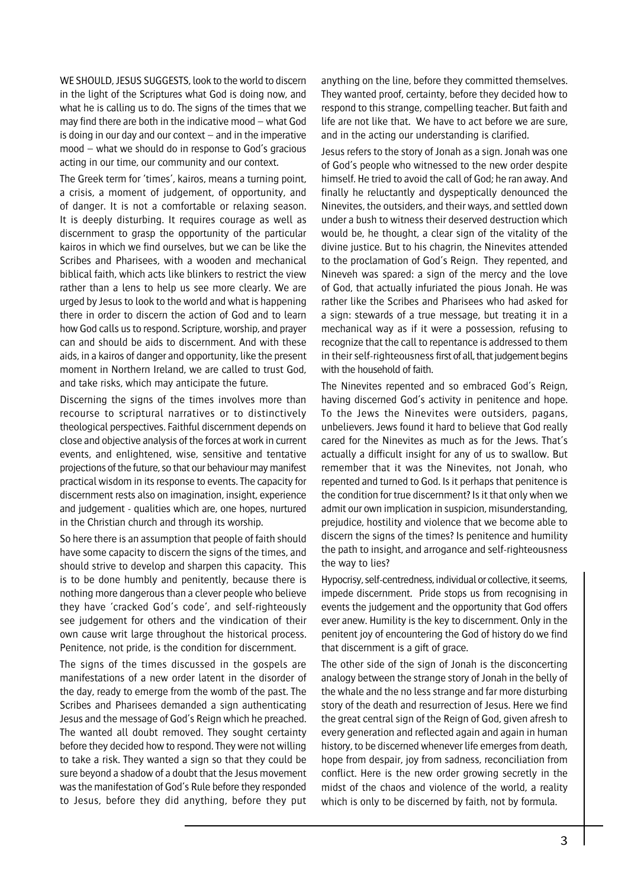WE SHOULD, JESUS SUGGESTS, look to the world to discern in the light of the Scriptures what God is doing now, and what he is calling us to do. The signs of the times that we may find there are both in the indicative mood – what God is doing in our day and our context  $-$  and in the imperative mood – what we should do in response to God's gracious acting in our time, our community and our context.

The Greek term for 'times', kairos, means a turning point, a crisis, a moment of judgement, of opportunity, and of danger. It is not a comfortable or relaxing season. It is deeply disturbing. It requires courage as well as discernment to grasp the opportunity of the particular kairos in which we find ourselves, but we can be like the Scribes and Pharisees, with a wooden and mechanical biblical faith, which acts like blinkers to restrict the view rather than a lens to help us see more clearly. We are urged by Jesus to look to the world and what is happening there in order to discern the action of God and to learn how God calls us to respond. Scripture, worship, and prayer can and should be aids to discernment. And with these aids, in a kairos of danger and opportunity, like the present moment in Northern Ireland, we are called to trust God, and take risks, which may anticipate the future.

Discerning the signs of the times involves more than recourse to scriptural narratives or to distinctively theological perspectives. Faithful discernment depends on close and objective analysis of the forces at work in current events, and enlightened, wise, sensitive and tentative projections of the future, so that our behaviour may manifest practical wisdom in its response to events. The capacity for discernment rests also on imagination, insight, experience and judgement - qualities which are, one hopes, nurtured in the Christian church and through its worship.

So here there is an assumption that people of faith should have some capacity to discern the signs of the times, and should strive to develop and sharpen this capacity. This is to be done humbly and penitently, because there is nothing more dangerous than a clever people who believe they have 'cracked God's code', and self-righteously see judgement for others and the vindication of their own cause writ large throughout the historical process. Penitence, not pride, is the condition for discernment.

The signs of the times discussed in the gospels are manifestations of a new order latent in the disorder of the day, ready to emerge from the womb of the past. The Scribes and Pharisees demanded a sign authenticating Jesus and the message of God's Reign which he preached. The wanted all doubt removed. They sought certainty before they decided how to respond. They were not willing to take a risk. They wanted a sign so that they could be sure beyond a shadow of a doubt that the Jesus movement was the manifestation of God's Rule before they responded to Jesus, before they did anything, before they put anything on the line, before they committed themselves. They wanted proof, certainty, before they decided how to respond to this strange, compelling teacher. But faith and life are not like that. We have to act before we are sure, and in the acting our understanding is clarified.

Jesus refers to the story of Jonah as a sign. Jonah was one of God's people who witnessed to the new order despite himself. He tried to avoid the call of God; he ran away. And finally he reluctantly and dyspeptically denounced the Ninevites, the outsiders, and their ways, and settled down under a bush to witness their deserved destruction which would be, he thought, a clear sign of the vitality of the divine justice. But to his chagrin, the Ninevites attended to the proclamation of God's Reign. They repented, and Nineveh was spared: a sign of the mercy and the love of God, that actually infuriated the pious Jonah. He was rather like the Scribes and Pharisees who had asked for a sign: stewards of a true message, but treating it in a mechanical way as if it were a possession, refusing to recognize that the call to repentance is addressed to them in their self-righteousness first of all, that judgement begins with the household of faith.

The Ninevites repented and so embraced God's Reign, having discerned God's activity in penitence and hope. To the Jews the Ninevites were outsiders, pagans, unbelievers. Jews found it hard to believe that God really cared for the Ninevites as much as for the Jews. That's actually a difficult insight for any of us to swallow. But remember that it was the Ninevites, not Jonah, who repented and turned to God. Is it perhaps that penitence is the condition for true discernment? Is it that only when we admit our own implication in suspicion, misunderstanding, prejudice, hostility and violence that we become able to discern the signs of the times? Is penitence and humility the path to insight, and arrogance and self-righteousness the way to lies?

Hypocrisy, self-centredness, individual or collective, it seems, impede discernment. Pride stops us from recognising in events the judgement and the opportunity that God offers ever anew. Humility is the key to discernment. Only in the penitent joy of encountering the God of history do we find that discernment is a gift of grace.

The other side of the sign of Jonah is the disconcerting analogy between the strange story of Jonah in the belly of the whale and the no less strange and far more disturbing story of the death and resurrection of Jesus. Here we find the great central sign of the Reign of God, given afresh to every generation and reflected again and again in human history, to be discerned whenever life emerges from death, hope from despair, joy from sadness, reconciliation from conflict. Here is the new order growing secretly in the midst of the chaos and violence of the world, a reality which is only to be discerned by faith, not by formula.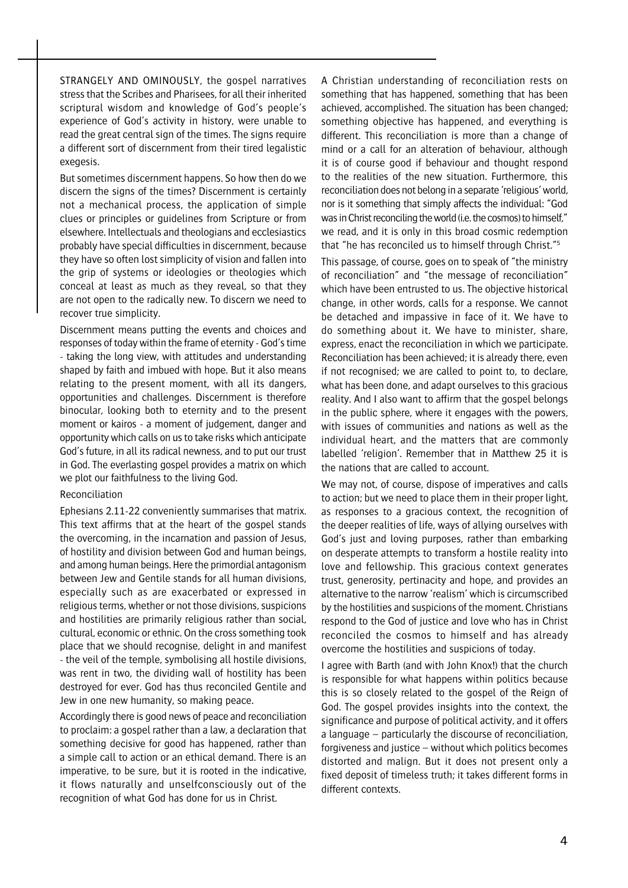STRANGELY AND OMINOUSLY, the gospel narratives stress that the Scribes and Pharisees, for all their inherited scriptural wisdom and knowledge of God's people's experience of God's activity in history, were unable to read the great central sign of the times. The signs require a different sort of discernment from their tired legalistic exegesis.

But sometimes discernment happens. So how then do we discern the signs of the times? Discernment is certainly not a mechanical process, the application of simple clues or principles or guidelines from Scripture or from elsewhere. Intellectuals and theologians and ecclesiastics probably have special difficulties in discernment, because they have so often lost simplicity of vision and fallen into the grip of systems or ideologies or theologies which conceal at least as much as they reveal, so that they are not open to the radically new. To discern we need to recover true simplicity.

Discernment means putting the events and choices and responses of today within the frame of eternity - God's time - taking the long view, with attitudes and understanding shaped by faith and imbued with hope. But it also means relating to the present moment, with all its dangers, opportunities and challenges. Discernment is therefore binocular, looking both to eternity and to the present moment or kairos - a moment of judgement, danger and opportunity which calls on us to take risks which anticipate God's future, in all its radical newness, and to put our trust in God. The everlasting gospel provides a matrix on which we plot our faithfulness to the living God.

#### Reconciliation

Ephesians 2.11-22 conveniently summarises that matrix. This text affirms that at the heart of the gospel stands the overcoming, in the incarnation and passion of Jesus, of hostility and division between God and human beings, and among human beings. Here the primordial antagonism between Jew and Gentile stands for all human divisions, especially such as are exacerbated or expressed in religious terms, whether or not those divisions, suspicions and hostilities are primarily religious rather than social, cultural, economic or ethnic. On the cross something took place that we should recognise, delight in and manifest - the veil of the temple, symbolising all hostile divisions, was rent in two, the dividing wall of hostility has been destroyed for ever. God has thus reconciled Gentile and Jew in one new humanity, so making peace.

Accordingly there is good news of peace and reconciliation to proclaim: a gospel rather than a law, a declaration that something decisive for good has happened, rather than a simple call to action or an ethical demand. There is an imperative, to be sure, but it is rooted in the indicative, it flows naturally and unselfconsciously out of the recognition of what God has done for us in Christ.

A Christian understanding of reconciliation rests on something that has happened, something that has been achieved, accomplished. The situation has been changed; something objective has happened, and everything is different. This reconciliation is more than a change of mind or a call for an alteration of behaviour, although it is of course good if behaviour and thought respond to the realities of the new situation. Furthermore, this reconciliation does not belong in a separate 'religious' world, nor is it something that simply affects the individual: "God was in Christ reconciling the world (i.e. the cosmos) to himself," we read, and it is only in this broad cosmic redemption that "he has reconciled us to himself through Christ."5

This passage, of course, goes on to speak of "the ministry of reconciliation" and "the message of reconciliation" which have been entrusted to us. The objective historical change, in other words, calls for a response. We cannot be detached and impassive in face of it. We have to do something about it. We have to minister, share, express, enact the reconciliation in which we participate. Reconciliation has been achieved; it is already there, even if not recognised; we are called to point to, to declare, what has been done, and adapt ourselves to this gracious reality. And I also want to affirm that the gospel belongs in the public sphere, where it engages with the powers, with issues of communities and nations as well as the individual heart, and the matters that are commonly labelled 'religion'. Remember that in Matthew 25 it is the nations that are called to account.

We may not, of course, dispose of imperatives and calls to action; but we need to place them in their proper light, as responses to a gracious context, the recognition of the deeper realities of life, ways of allying ourselves with God's just and loving purposes, rather than embarking on desperate attempts to transform a hostile reality into love and fellowship. This gracious context generates trust, generosity, pertinacity and hope, and provides an alternative to the narrow 'realism' which is circumscribed by the hostilities and suspicions of the moment. Christians respond to the God of justice and love who has in Christ reconciled the cosmos to himself and has already overcome the hostilities and suspicions of today.

I agree with Barth (and with John Knox!) that the church is responsible for what happens within politics because this is so closely related to the gospel of the Reign of God. The gospel provides insights into the context, the significance and purpose of political activity, and it offers a language – particularly the discourse of reconciliation, forgiveness and justice – without which politics becomes distorted and malign. But it does not present only a fixed deposit of timeless truth; it takes different forms in different contexts.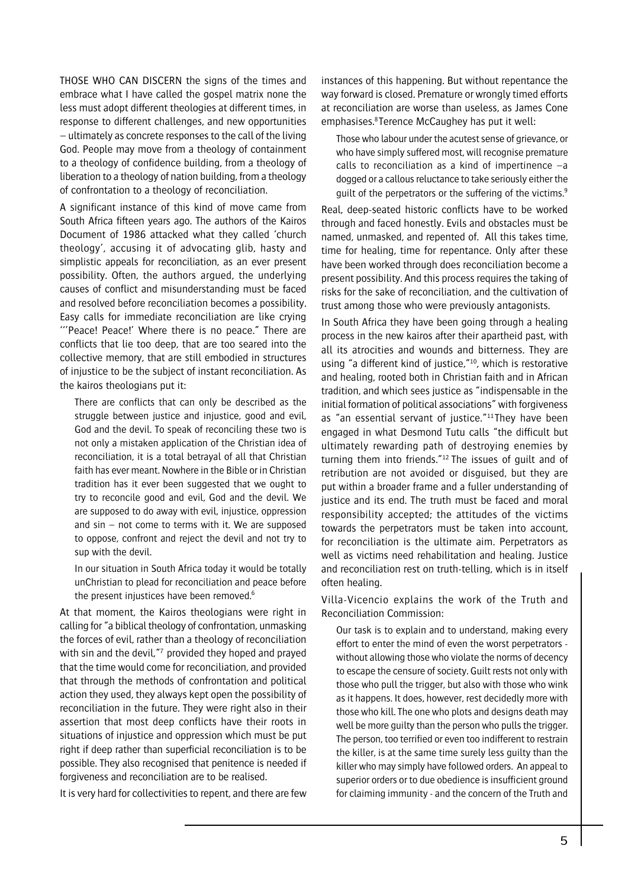THOSE WHO CAN DISCERN the signs of the times and embrace what I have called the gospel matrix none the less must adopt different theologies at different times, in response to different challenges, and new opportunities – ultimately as concrete responses to the call of the living God. People may move from a theology of containment to a theology of confidence building, from a theology of liberation to a theology of nation building, from a theology of confrontation to a theology of reconciliation.

A significant instance of this kind of move came from South Africa fifteen years ago. The authors of the Kairos Document of 1986 attacked what they called 'church theology', accusing it of advocating glib, hasty and simplistic appeals for reconciliation, as an ever present possibility. Often, the authors argued, the underlying causes of conflict and misunderstanding must be faced and resolved before reconciliation becomes a possibility. Easy calls for immediate reconciliation are like crying '''Peace! Peace!' Where there is no peace." There are conflicts that lie too deep, that are too seared into the collective memory, that are still embodied in structures of injustice to be the subject of instant reconciliation. As the kairos theologians put it:

There are conflicts that can only be described as the struggle between justice and injustice, good and evil, God and the devil. To speak of reconciling these two is not only a mistaken application of the Christian idea of reconciliation, it is a total betrayal of all that Christian faith has ever meant. Nowhere in the Bible or in Christian tradition has it ever been suggested that we ought to try to reconcile good and evil, God and the devil. We are supposed to do away with evil, injustice, oppression and sin – not come to terms with it. We are supposed to oppose, confront and reject the devil and not try to sup with the devil.

In our situation in South Africa today it would be totally unChristian to plead for reconciliation and peace before the present injustices have been removed.<sup>6</sup>

At that moment, the Kairos theologians were right in calling for "a biblical theology of confrontation, unmasking the forces of evil, rather than a theology of reconciliation with sin and the devil,"<sup>7</sup> provided they hoped and prayed that the time would come for reconciliation, and provided that through the methods of confrontation and political action they used, they always kept open the possibility of reconciliation in the future. They were right also in their assertion that most deep conflicts have their roots in situations of injustice and oppression which must be put right if deep rather than superficial reconciliation is to be possible. They also recognised that penitence is needed if forgiveness and reconciliation are to be realised.

It is very hard for collectivities to repent, and there are few

instances of this happening. But without repentance the way forward is closed. Premature or wrongly timed efforts at reconciliation are worse than useless, as James Cone emphasises.8Terence McCaughey has put it well:

Those who labour under the acutest sense of grievance, or who have simply suffered most, will recognise premature calls to reconciliation as a kind of impertinence –a dogged or a callous reluctance to take seriously either the guilt of the perpetrators or the suffering of the victims.<sup>9</sup>

Real, deep-seated historic conflicts have to be worked through and faced honestly. Evils and obstacles must be named, unmasked, and repented of. All this takes time, time for healing, time for repentance. Only after these have been worked through does reconciliation become a present possibility. And this process requires the taking of risks for the sake of reconciliation, and the cultivation of trust among those who were previously antagonists.

In South Africa they have been going through a healing process in the new kairos after their apartheid past, with all its atrocities and wounds and bitterness. They are using "a different kind of justice,"10, which is restorative and healing, rooted both in Christian faith and in African tradition, and which sees justice as "indispensable in the initial formation of political associations" with forgiveness as "an essential servant of justice."<sup>11</sup> They have been engaged in what Desmond Tutu calls "the difficult but ultimately rewarding path of destroying enemies by turning them into friends."12 The issues of guilt and of retribution are not avoided or disguised, but they are put within a broader frame and a fuller understanding of justice and its end. The truth must be faced and moral responsibility accepted; the attitudes of the victims towards the perpetrators must be taken into account, for reconciliation is the ultimate aim. Perpetrators as well as victims need rehabilitation and healing. Justice and reconciliation rest on truth-telling, which is in itself often healing.

Villa-Vicencio explains the work of the Truth and Reconciliation Commission:

Our task is to explain and to understand, making every effort to enter the mind of even the worst perpetrators without allowing those who violate the norms of decency to escape the censure of society. Guilt rests not only with those who pull the trigger, but also with those who wink as it happens. It does, however, rest decidedly more with those who kill. The one who plots and designs death may well be more guilty than the person who pulls the trigger. The person, too terrified or even too indifferent to restrain the killer, is at the same time surely less guilty than the killer who may simply have followed orders. An appeal to superior orders or to due obedience is insufficient ground for claiming immunity - and the concern of the Truth and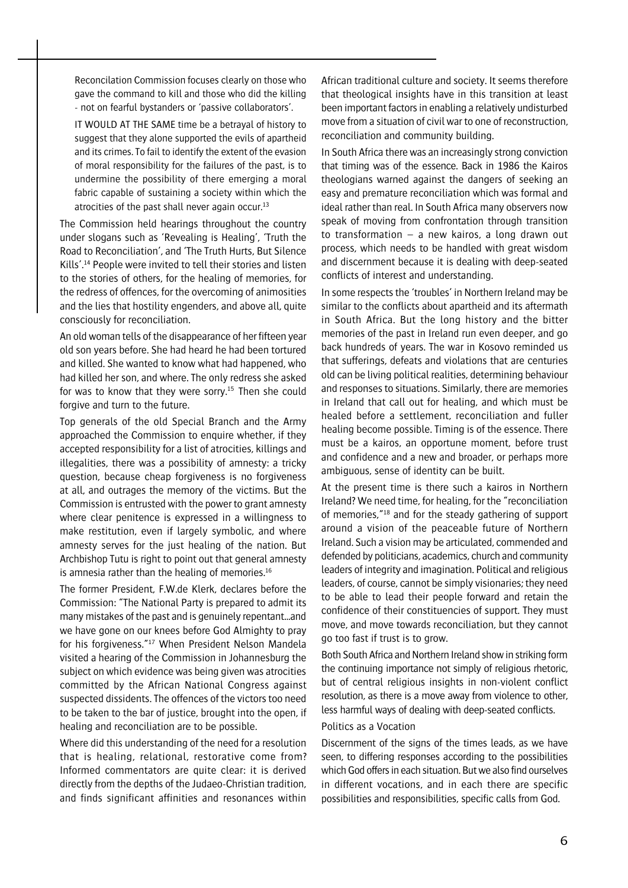Reconcilation Commission focuses clearly on those who gave the command to kill and those who did the killing - not on fearful bystanders or 'passive collaborators'.

IT WOULD AT THE SAME time be a betrayal of history to suggest that they alone supported the evils of apartheid and its crimes. To fail to identify the extent of the evasion of moral responsibility for the failures of the past, is to undermine the possibility of there emerging a moral fabric capable of sustaining a society within which the atrocities of the past shall never again occur. $13$ 

The Commission held hearings throughout the country under slogans such as 'Revealing is Healing', 'Truth the Road to Reconciliation', and 'The Truth Hurts, But Silence Kills'.14 People were invited to tell their stories and listen to the stories of others, for the healing of memories, for the redress of offences, for the overcoming of animosities and the lies that hostility engenders, and above all, quite consciously for reconciliation.

An old woman tells of the disappearance of her fifteen year old son years before. She had heard he had been tortured and killed. She wanted to know what had happened, who had killed her son, and where. The only redress she asked for was to know that they were sorry.<sup>15</sup> Then she could forgive and turn to the future.

Top generals of the old Special Branch and the Army approached the Commission to enquire whether, if they accepted responsibility for a list of atrocities, killings and illegalities, there was a possibility of amnesty: a tricky question, because cheap forgiveness is no forgiveness at all, and outrages the memory of the victims. But the Commission is entrusted with the power to grant amnesty where clear penitence is expressed in a willingness to make restitution, even if largely symbolic, and where amnesty serves for the just healing of the nation. But Archbishop Tutu is right to point out that general amnesty is amnesia rather than the healing of memories. $16$ 

The former President, F.W.de Klerk, declares before the Commission: "The National Party is prepared to admit its many mistakes of the past and is genuinely repentant...and we have gone on our knees before God Almighty to pray for his forgiveness."17 When President Nelson Mandela visited a hearing of the Commission in Johannesburg the subject on which evidence was being given was atrocities committed by the African National Congress against suspected dissidents. The offences of the victors too need to be taken to the bar of justice, brought into the open, if healing and reconciliation are to be possible.

Where did this understanding of the need for a resolution that is healing, relational, restorative come from? Informed commentators are quite clear: it is derived directly from the depths of the Judaeo-Christian tradition, and finds significant affinities and resonances within African traditional culture and society. It seems therefore that theological insights have in this transition at least been important factors in enabling a relatively undisturbed move from a situation of civil war to one of reconstruction, reconciliation and community building.

In South Africa there was an increasingly strong conviction that timing was of the essence. Back in 1986 the Kairos theologians warned against the dangers of seeking an easy and premature reconciliation which was formal and ideal rather than real. In South Africa many observers now speak of moving from confrontation through transition to transformation – a new kairos, a long drawn out process, which needs to be handled with great wisdom and discernment because it is dealing with deep-seated conflicts of interest and understanding.

In some respects the 'troubles' in Northern Ireland may be similar to the conflicts about apartheid and its aftermath in South Africa. But the long history and the bitter memories of the past in Ireland run even deeper, and go back hundreds of years. The war in Kosovo reminded us that sufferings, defeats and violations that are centuries old can be living political realities, determining behaviour and responses to situations. Similarly, there are memories in Ireland that call out for healing, and which must be healed before a settlement, reconciliation and fuller healing become possible. Timing is of the essence. There must be a kairos, an opportune moment, before trust and confidence and a new and broader, or perhaps more ambiguous, sense of identity can be built.

At the present time is there such a kairos in Northern Ireland? We need time, for healing, for the "reconciliation of memories,"18 and for the steady gathering of support around a vision of the peaceable future of Northern Ireland. Such a vision may be articulated, commended and defended by politicians, academics, church and community leaders of integrity and imagination. Political and religious leaders, of course, cannot be simply visionaries; they need to be able to lead their people forward and retain the confidence of their constituencies of support. They must move, and move towards reconciliation, but they cannot go too fast if trust is to grow.

Both South Africa and Northern Ireland show in striking form the continuing importance not simply of religious rhetoric, but of central religious insights in non-violent conflict resolution, as there is a move away from violence to other, less harmful ways of dealing with deep-seated conflicts.

#### Politics as a Vocation

Discernment of the signs of the times leads, as we have seen, to differing responses according to the possibilities which God offers in each situation. But we also find ourselves in different vocations, and in each there are specific possibilities and responsibilities, specific calls from God.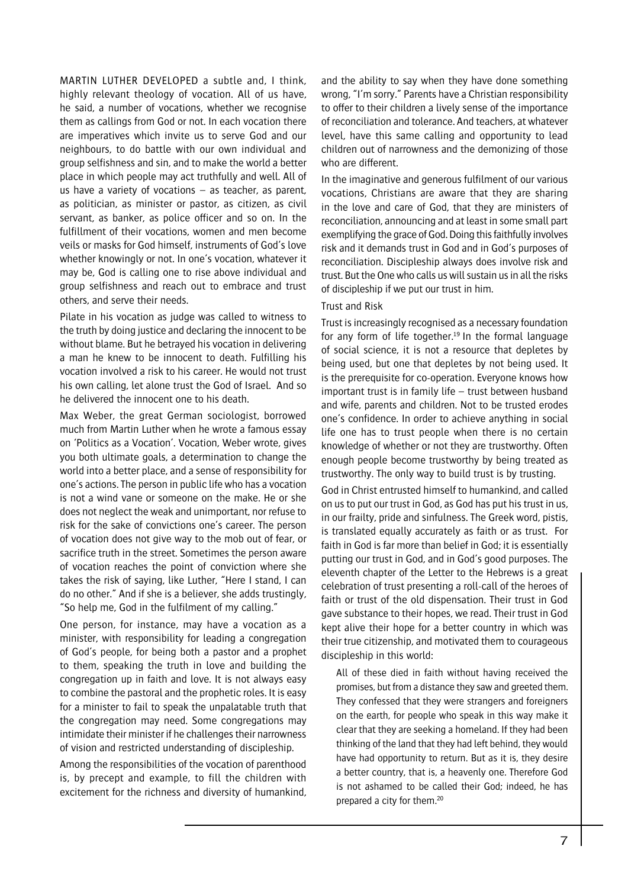MARTIN LUTHER DEVELOPED a subtle and, I think, highly relevant theology of vocation. All of us have, he said, a number of vocations, whether we recognise them as callings from God or not. In each vocation there are imperatives which invite us to serve God and our neighbours, to do battle with our own individual and group selfishness and sin, and to make the world a better place in which people may act truthfully and well. All of us have a variety of vocations  $-$  as teacher, as parent, as politician, as minister or pastor, as citizen, as civil servant, as banker, as police officer and so on. In the fulfillment of their vocations, women and men become veils or masks for God himself, instruments of God's love whether knowingly or not. In one's vocation, whatever it may be, God is calling one to rise above individual and group selfishness and reach out to embrace and trust others, and serve their needs.

Pilate in his vocation as judge was called to witness to the truth by doing justice and declaring the innocent to be without blame. But he betrayed his vocation in delivering a man he knew to be innocent to death. Fulfilling his vocation involved a risk to his career. He would not trust his own calling, let alone trust the God of Israel. And so he delivered the innocent one to his death.

Max Weber, the great German sociologist, borrowed much from Martin Luther when he wrote a famous essay on 'Politics as a Vocation'. Vocation, Weber wrote, gives you both ultimate goals, a determination to change the world into a better place, and a sense of responsibility for one's actions. The person in public life who has a vocation is not a wind vane or someone on the make. He or she does not neglect the weak and unimportant, nor refuse to risk for the sake of convictions one's career. The person of vocation does not give way to the mob out of fear, or sacrifice truth in the street. Sometimes the person aware of vocation reaches the point of conviction where she takes the risk of saying, like Luther, "Here I stand, I can do no other." And if she is a believer, she adds trustingly, "So help me, God in the fulfilment of my calling."

One person, for instance, may have a vocation as a minister, with responsibility for leading a congregation of God's people, for being both a pastor and a prophet to them, speaking the truth in love and building the congregation up in faith and love. It is not always easy to combine the pastoral and the prophetic roles. It is easy for a minister to fail to speak the unpalatable truth that the congregation may need. Some congregations may intimidate their minister if he challenges their narrowness of vision and restricted understanding of discipleship.

Among the responsibilities of the vocation of parenthood is, by precept and example, to fill the children with excitement for the richness and diversity of humankind,

and the ability to say when they have done something wrong, "I'm sorry." Parents have a Christian responsibility to offer to their children a lively sense of the importance of reconciliation and tolerance. And teachers, at whatever level, have this same calling and opportunity to lead children out of narrowness and the demonizing of those who are different.

In the imaginative and generous fulfilment of our various vocations, Christians are aware that they are sharing in the love and care of God, that they are ministers of reconciliation, announcing and at least in some small part exemplifying the grace of God. Doing this faithfully involves risk and it demands trust in God and in God's purposes of reconciliation. Discipleship always does involve risk and trust. But the One who calls us will sustain us in all the risks of discipleship if we put our trust in him.

#### Trust and Risk

Trust is increasingly recognised as a necessary foundation for any form of life together.<sup>19</sup> In the formal language of social science, it is not a resource that depletes by being used, but one that depletes by not being used. It is the prerequisite for co-operation. Everyone knows how important trust is in family life – trust between husband and wife, parents and children. Not to be trusted erodes one's confidence. In order to achieve anything in social life one has to trust people when there is no certain knowledge of whether or not they are trustworthy. Often enough people become trustworthy by being treated as trustworthy. The only way to build trust is by trusting.

God in Christ entrusted himself to humankind, and called on us to put our trust in God, as God has put his trust in us, in our frailty, pride and sinfulness. The Greek word, pistis, is translated equally accurately as faith or as trust. For faith in God is far more than belief in God; it is essentially putting our trust in God, and in God's good purposes. The eleventh chapter of the Letter to the Hebrews is a great celebration of trust presenting a roll-call of the heroes of faith or trust of the old dispensation. Their trust in God gave substance to their hopes, we read. Their trust in God kept alive their hope for a better country in which was their true citizenship, and motivated them to courageous discipleship in this world:

All of these died in faith without having received the promises, but from a distance they saw and greeted them. They confessed that they were strangers and foreigners on the earth, for people who speak in this way make it clear that they are seeking a homeland. If they had been thinking of the land that they had left behind, they would have had opportunity to return. But as it is, they desire a better country, that is, a heavenly one. Therefore God is not ashamed to be called their God; indeed, he has prepared a city for them.20